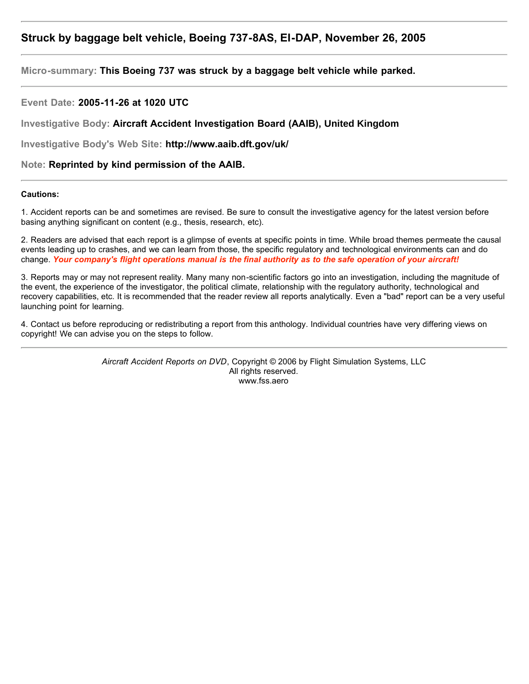# **Struck by baggage belt vehicle, Boeing 737-8AS, EI-DAP, November 26, 2005**

**Micro-summary: This Boeing 737 was struck by a baggage belt vehicle while parked.**

**Event Date: 2005-11-26 at 1020 UTC**

**Investigative Body: Aircraft Accident Investigation Board (AAIB), United Kingdom**

**Investigative Body's Web Site: http://www.aaib.dft.gov/uk/**

**Note: Reprinted by kind permission of the AAIB.**

#### **Cautions:**

1. Accident reports can be and sometimes are revised. Be sure to consult the investigative agency for the latest version before basing anything significant on content (e.g., thesis, research, etc).

2. Readers are advised that each report is a glimpse of events at specific points in time. While broad themes permeate the causal events leading up to crashes, and we can learn from those, the specific regulatory and technological environments can and do change. *Your company's flight operations manual is the final authority as to the safe operation of your aircraft!*

3. Reports may or may not represent reality. Many many non-scientific factors go into an investigation, including the magnitude of the event, the experience of the investigator, the political climate, relationship with the regulatory authority, technological and recovery capabilities, etc. It is recommended that the reader review all reports analytically. Even a "bad" report can be a very useful launching point for learning.

4. Contact us before reproducing or redistributing a report from this anthology. Individual countries have very differing views on copyright! We can advise you on the steps to follow.

> *Aircraft Accident Reports on DVD*, Copyright © 2006 by Flight Simulation Systems, LLC All rights reserved. www.fss.aero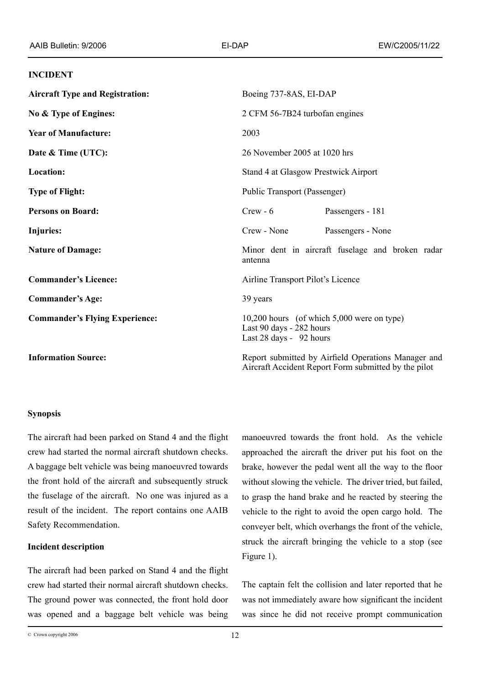#### **INCIDENT**

| <b>Aircraft Type and Registration:</b> | Boeing 737-8AS, EI-DAP                                                                                      |
|----------------------------------------|-------------------------------------------------------------------------------------------------------------|
| No & Type of Engines:                  | 2 CFM 56-7B24 turbofan engines                                                                              |
| <b>Year of Manufacture:</b>            | 2003                                                                                                        |
| Date & Time (UTC):                     | 26 November 2005 at 1020 hrs                                                                                |
| <b>Location:</b>                       | Stand 4 at Glasgow Prestwick Airport                                                                        |
| <b>Type of Flight:</b>                 | Public Transport (Passenger)                                                                                |
| <b>Persons on Board:</b>               | Passengers - 181<br>$Crew - 6$                                                                              |
| Injuries:                              | Crew - None<br>Passengers - None                                                                            |
| <b>Nature of Damage:</b>               | Minor dent in aircraft fuselage and broken radar<br>antenna                                                 |
| <b>Commander's Licence:</b>            | Airline Transport Pilot's Licence                                                                           |
| <b>Commander's Age:</b>                | 39 years                                                                                                    |
| <b>Commander's Flying Experience:</b>  | 10,200 hours (of which 5,000 were on type)<br>Last 90 days - 282 hours<br>Last 28 days - 92 hours           |
| <b>Information Source:</b>             | Report submitted by Airfield Operations Manager and<br>Aircraft Accident Report Form submitted by the pilot |

### **Synopsis**

The aircraft had been parked on Stand 4 and the flight crew had started the normal aircraft shutdown checks. A baggage belt vehicle was being manoeuvred towards the front hold of the aircraft and subsequently struck the fuselage of the aircraft. No one was injured as a result of the incident. The report contains one AAIB Safety Recommendation.

### **Incident description**

The aircraft had been parked on Stand 4 and the flight crew had started their normal aircraft shutdown checks. The ground power was connected, the front hold door was opened and a baggage belt vehicle was being

manoeuvred towards the front hold. As the vehicle approached the aircraft the driver put his foot on the brake, however the pedal went all the way to the floor without slowing the vehicle. The driver tried, but failed, to grasp the hand brake and he reacted by steering the vehicle to the right to avoid the open cargo hold. The conveyer belt, which overhangs the front of the vehicle, struck the aircraft bringing the vehicle to a stop (see Figure 1).

The captain felt the collision and later reported that he was not immediately aware how significant the incident was since he did not receive prompt communication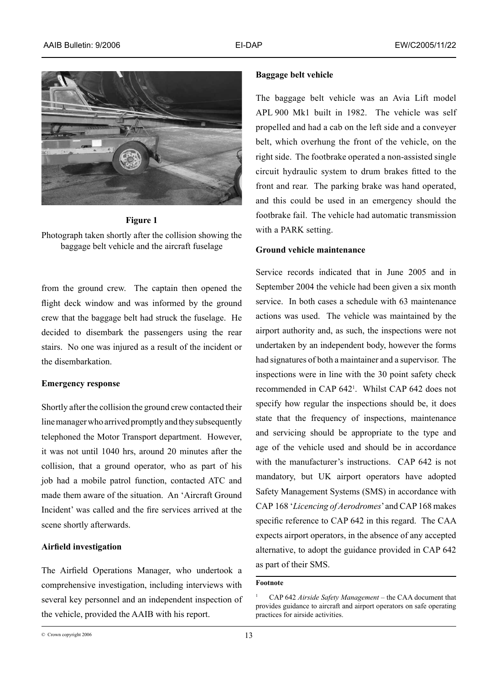





from the ground crew. The captain then opened the flight deck window and was informed by the ground crew that the baggage belt had struck the fuselage. He decided to disembark the passengers using the rear stairs. No one was injured as a result of the incident or the disembarkation.

#### **Emergency response**

Shortly after the collision the ground crew contacted their line manager who arrived promptly and they subsequently telephoned the Motor Transport department. However, it was not until 1040 hrs, around 20 minutes after the collision, that a ground operator, who as part of his job had a mobile patrol function, contacted ATC and made them aware of the situation. An 'Aircraft Ground Incident' was called and the fire services arrived at the scene shortly afterwards.

### **Airfield investigation**

The Airfield Operations Manager, who undertook a comprehensive investigation, including interviews with several key personnel and an independent inspection of the vehicle, provided the AAIB with his report.

#### **Baggage belt vehicle**

The baggage belt vehicle was an Avia Lift model APL 900 Mk1 built in 1982. The vehicle was self propelled and had a cab on the left side and a conveyer belt, which overhung the front of the vehicle, on the right side. The footbrake operated a non-assisted single circuit hydraulic system to drum brakes fitted to the front and rear. The parking brake was hand operated, and this could be used in an emergency should the footbrake fail. The vehicle had automatic transmission with a PARK setting.

### **Ground vehicle maintenance**

Service records indicated that in June 2005 and in September 2004 the vehicle had been given a six month service. In both cases a schedule with 63 maintenance actions was used. The vehicle was maintained by the airport authority and, as such, the inspections were not undertaken by an independent body, however the forms had signatures of both a maintainer and a supervisor. The inspections were in line with the 30 point safety check recommended in CAP 642 . Whilst CAP 642 does not specify how regular the inspections should be, it does state that the frequency of inspections, maintenance and servicing should be appropriate to the type and age of the vehicle used and should be in accordance with the manufacturer's instructions. CAP 642 is not mandatory, but UK airport operators have adopted Safety Management Systems (SMS) in accordance with CAP 168 '*Licencing of Aerodromes*' and CAP 168 makes specific reference to CAP 642 in this regard. The CAA expects airport operators, in the absence of any accepted alternative, to adopt the guidance provided in CAP 642 as part of their SMS.

### **Footnote**

CAP 642 *Airside Safety Management* – the CAA document that provides guidance to aircraft and airport operators on safe operating practices for airside activities.